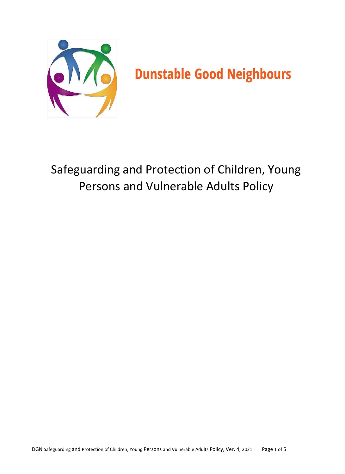

# Safeguarding and Protection of Children, Young Persons and Vulnerable Adults Policy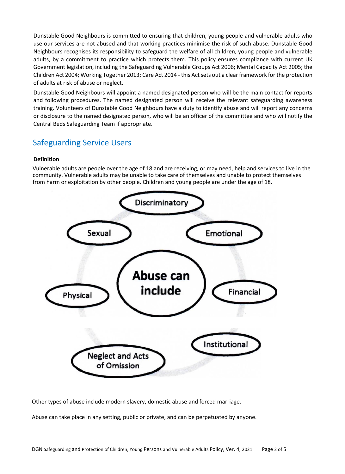Dunstable Good Neighbours is committed to ensuring that children, young people and vulnerable adults who use our services are not abused and that working practices minimise the risk of such abuse. Dunstable Good Neighbours recognises its responsibility to safeguard the welfare of all children, young people and vulnerable adults, by a commitment to practice which protects them. This policy ensures compliance with current UK Government legislation, including the Safeguarding Vulnerable Groups Act 2006; Mental Capacity Act 2005; the Children Act 2004; Working Together 2013; Care Act 2014 - this Act sets out a clear framework for the protection of adults at risk of abuse or neglect.

Dunstable Good Neighbours will appoint a named designated person who will be the main contact for reports and following procedures. The named designated person will receive the relevant safeguarding awareness training. Volunteers of Dunstable Good Neighbours have a duty to identify abuse and will report any concerns or disclosure to the named designated person, who will be an officer of the committee and who will notify the Central Beds Safeguarding Team if appropriate.

# Safeguarding Service Users

#### **Definition**

Vulnerable adults are people over the age of 18 and are receiving, or may need, help and services to live in the community. Vulnerable adults may be unable to take care of themselves and unable to protect themselves from harm or exploitation by other people. Children and young people are under the age of 18.



Other types of abuse include modern slavery, domestic abuse and forced marriage.

Abuse can take place in any setting, public or private, and can be perpetuated by anyone.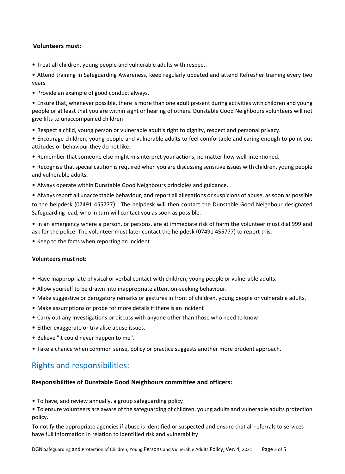### **Volunteers must:**

• Treat all children, young people and vulnerable adults with respect.

• Attend training in Safeguarding Awareness, keep regularly updated and attend Refresher training every two years

• Provide an example of good conduct always.

• Ensure that, whenever possible, there is more than one adult present during activities with children and young people or at least that you are within sight or hearing of others. Dunstable Good Neighbours volunteers will not give lifts to unaccompanied children

- Respect a child, young person or vulnerable adult's right to dignity, respect and personal privacy.
- Encourage children, young people and vulnerable adults to feel comfortable and caring enough to point out attitudes or behaviour they do not like.
- Remember that someone else might misinterpret your actions, no matter how well-intentioned.
- Recognise that special caution is required when you are discussing sensitive issues with children, young people and vulnerable adults.
- Always operate within Dunstable Good Neighbours principles and guidance.

• Always report all unacceptable behaviour, and report all allegations or suspicions of abuse, as soon as possible to the helpdesk (07491 455777). The helpdesk will then contact the Dunstable Good Neighbour designated Safeguarding lead, who in turn will contact you as soon as possible.

• In an emergency where a person, or persons, are at immediate risk of harm the volunteer must dial 999 and ask for the police. The volunteer must later contact the helpdesk (07491 455777) to report this.

• Keep to the facts when reporting an incident

#### **Volunteers must not:**

- Have inappropriate physical or verbal contact with children, young people or vulnerable adults.
- Allow yourself to be drawn into inappropriate attention-seeking behaviour.
- Make suggestive or derogatory remarks or gestures in front of children, young people or vulnerable adults.
- Make assumptions or probe for more details if there is an incident
- Carry out any investigations or discuss with anyone other than those who need to know
- Either exaggerate or trivialise abuse issues.
- Believe "it could never happen to me".
- Take a chance when common sense, policy or practice suggests another more prudent approach.

# Rights and responsibilities:

#### **Responsibilities of Dunstable Good Neighbours committee and officers:**

• To have, and review annually, a group safeguarding policy

• To ensure volunteers are aware of the safeguarding of children, young adults and vulnerable adults protection policy.

To notify the appropriate agencies if abuse is identified or suspected and ensure that all referrals to services have full information in relation to identified risk and vulnerability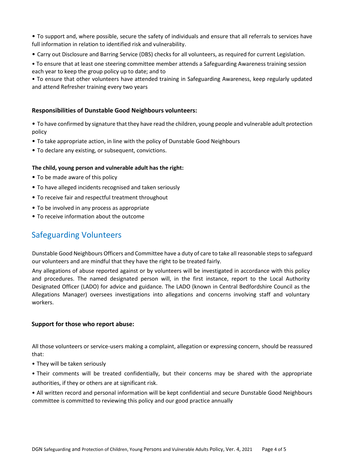• To support and, where possible, secure the safety of individuals and ensure that all referrals to services have full information in relation to identified risk and vulnerability.

• Carry out Disclosure and Barring Service (DBS) checks for all volunteers, as required for current Legislation.

• To ensure that at least one steering committee member attends a Safeguarding Awareness training session each year to keep the group policy up to date; and to

• To ensure that other volunteers have attended training in Safeguarding Awareness, keep regularly updated and attend Refresher training every two years

#### **Responsibilities of Dunstable Good Neighbours volunteers:**

• To have confirmed by signature that they have read the children, young people and vulnerable adult protection policy

- To take appropriate action, in line with the policy of Dunstable Good Neighbours
- To declare any existing, or subsequent, convictions.

#### **The child, young person and vulnerable adult has the right:**

- To be made aware of this policy
- To have alleged incidents recognised and taken seriously
- To receive fair and respectful treatment throughout
- To be involved in any process as appropriate
- To receive information about the outcome

# Safeguarding Volunteers

Dunstable Good Neighbours Officers and Committee have a duty of care to take all reasonable steps to safeguard our volunteers and are mindful that they have the right to be treated fairly.

Any allegations of abuse reported against or by volunteers will be investigated in accordance with this policy and procedures. The named designated person will, in the first instance, report to the Local Authority Designated Officer (LADO) for advice and guidance. The LADO (known in Central Bedfordshire Council as the Allegations Manager) oversees investigations into allegations and concerns involving staff and voluntary workers.

#### **Support for those who report abuse:**

All those volunteers or service-users making a complaint, allegation or expressing concern, should be reassured that:

• They will be taken seriously

• Their comments will be treated confidentially, but their concerns may be shared with the appropriate authorities, if they or others are at significant risk.

• All written record and personal information will be kept confidential and secure Dunstable Good Neighbours committee is committed to reviewing this policy and our good practice annually